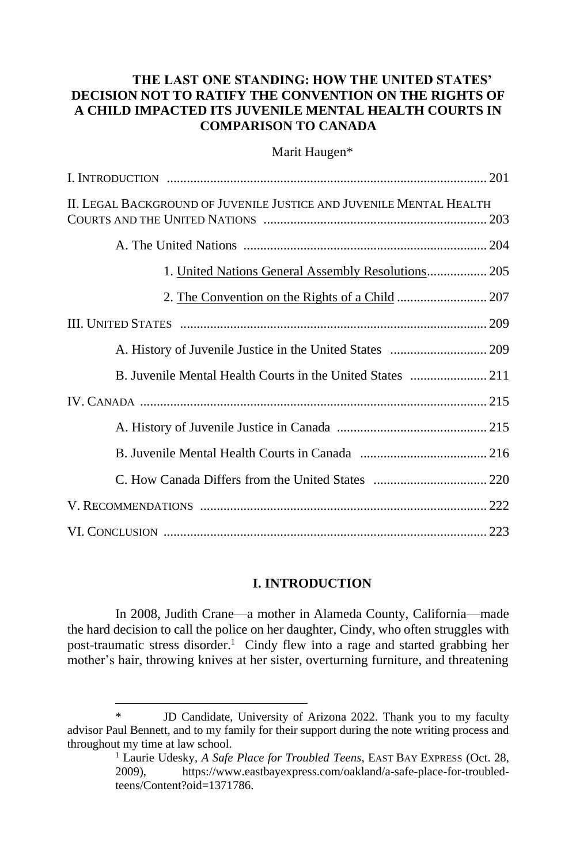# **THE LAST ONE STANDING: HOW THE UNITED STATES' DECISION NOT TO RATIFY THE CONVENTION ON THE RIGHTS OF A CHILD IMPACTED ITS JUVENILE MENTAL HEALTH COURTS IN COMPARISON TO CANADA**

### Marit Haugen\*

| II. LEGAL BACKGROUND OF JUVENILE JUSTICE AND JUVENILE MENTAL HEALTH |  |
|---------------------------------------------------------------------|--|
|                                                                     |  |
| 1. United Nations General Assembly Resolutions 205                  |  |
|                                                                     |  |
|                                                                     |  |
|                                                                     |  |
|                                                                     |  |
|                                                                     |  |
|                                                                     |  |
|                                                                     |  |
|                                                                     |  |
|                                                                     |  |
|                                                                     |  |

# **I. INTRODUCTION**

In 2008, Judith Crane—a mother in Alameda County, California—made the hard decision to call the police on her daughter, Cindy, who often struggles with post-traumatic stress disorder. <sup>1</sup> Cindy flew into a rage and started grabbing her mother's hair, throwing knives at her sister, overturning furniture, and threatening

JD Candidate, University of Arizona 2022. Thank you to my faculty advisor Paul Bennett, and to my family for their support during the note writing process and throughout my time at law school.

<sup>&</sup>lt;sup>1</sup> Laurie Udesky, *A Safe Place for Troubled Teens*, EAST BAY EXPRESS (Oct. 28, 2009), https://www.eastbayexpress.com/oakland/a-safe-place-for-troubledteens/Content?oid=1371786.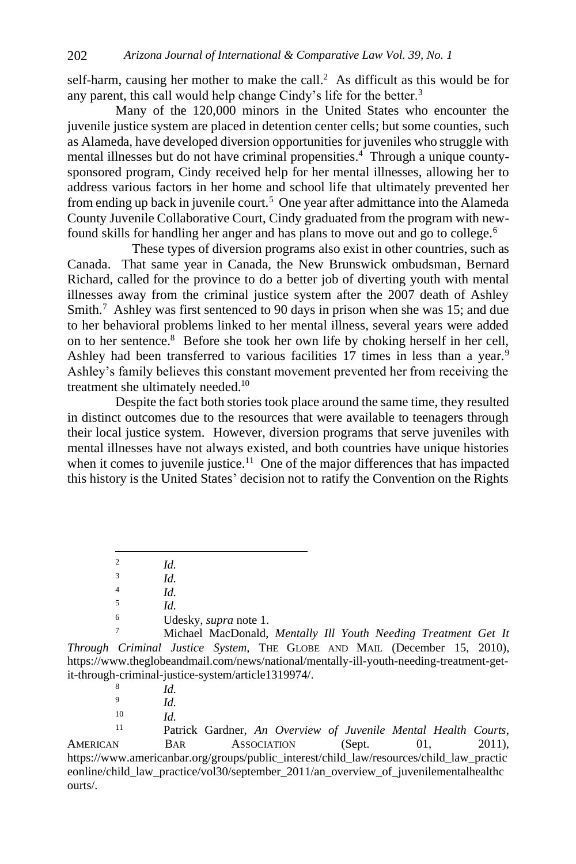self-harm, causing her mother to make the call. $<sup>2</sup>$  As difficult as this would be for</sup> any parent, this call would help change Cindy's life for the better.<sup>3</sup>

Many of the 120,000 minors in the United States who encounter the juvenile justice system are placed in detention center cells; but some counties, such as Alameda, have developed diversion opportunities for juveniles who struggle with mental illnesses but do not have criminal propensities.<sup>4</sup> Through a unique countysponsored program, Cindy received help for her mental illnesses, allowing her to address various factors in her home and school life that ultimately prevented her from ending up back in juvenile court.<sup>5</sup> One year after admittance into the Alameda County Juvenile Collaborative Court, Cindy graduated from the program with newfound skills for handling her anger and has plans to move out and go to college.<sup>6</sup>

 These types of diversion programs also exist in other countries, such as Canada. That same year in Canada, the New Brunswick ombudsman, Bernard Richard, called for the province to do a better job of diverting youth with mental illnesses away from the criminal justice system after the 2007 death of Ashley Smith.<sup>7</sup> Ashley was first sentenced to 90 days in prison when she was 15; and due to her behavioral problems linked to her mental illness, several years were added on to her sentence.<sup>8</sup> Before she took her own life by choking herself in her cell, Ashley had been transferred to various facilities 17 times in less than a year.<sup>9</sup> Ashley's family believes this constant movement prevented her from receiving the treatment she ultimately needed.<sup>10</sup>

Despite the fact both stories took place around the same time, they resulted in distinct outcomes due to the resources that were available to teenagers through their local justice system. However, diversion programs that serve juveniles with mental illnesses have not always existed, and both countries have unique histories when it comes to juvenile justice.<sup>11</sup> One of the major differences that has impacted this history is the United States' decision not to ratify the Convention on the Rights

<sup>6</sup> Udesky, *supra* note 1.

<sup>7</sup> Michael MacDonald, *Mentally Ill Youth Needing Treatment Get It Through Criminal Justice System*, THE GLOBE AND MAIL (December 15, 2010), https://www.theglobeandmail.com/news/national/mentally-ill-youth-needing-treatment-getit-through-criminal-justice-system/article1319974/.

 $10$  *Id.* 

Patrick Gardner, *An Overview of Juvenile Mental Health Courts*, AMERICAN BAR ASSOCIATION (Sept. 01, 2011), https://www.americanbar.org/groups/public\_interest/child\_law/resources/child\_law\_practic eonline/child\_law\_practice/vol30/september\_2011/an\_overview\_of\_juvenilementalhealthc ourts/.

<sup>2</sup> *Id.*

<sup>3</sup> *Id.*

<sup>4</sup> *Id.*

<sup>5</sup> *Id.*

<sup>8</sup> *Id.*

<sup>9</sup> *Id.*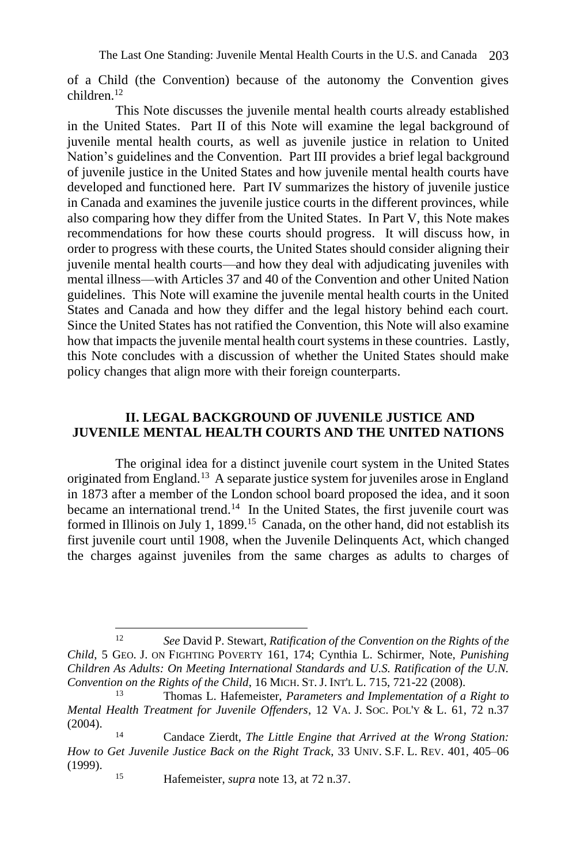of a Child (the Convention) because of the autonomy the Convention gives children.<sup>12</sup>

This Note discusses the juvenile mental health courts already established in the United States. Part II of this Note will examine the legal background of juvenile mental health courts, as well as juvenile justice in relation to United Nation's guidelines and the Convention. Part III provides a brief legal background of juvenile justice in the United States and how juvenile mental health courts have developed and functioned here. Part IV summarizes the history of juvenile justice in Canada and examines the juvenile justice courts in the different provinces, while also comparing how they differ from the United States. In Part V, this Note makes recommendations for how these courts should progress. It will discuss how, in order to progress with these courts, the United States should consider aligning their juvenile mental health courts—and how they deal with adjudicating juveniles with mental illness—with Articles 37 and 40 of the Convention and other United Nation guidelines. This Note will examine the juvenile mental health courts in the United States and Canada and how they differ and the legal history behind each court. Since the United States has not ratified the Convention, this Note will also examine how that impacts the juvenile mental health court systems in these countries. Lastly, this Note concludes with a discussion of whether the United States should make policy changes that align more with their foreign counterparts.

# **II. LEGAL BACKGROUND OF JUVENILE JUSTICE AND JUVENILE MENTAL HEALTH COURTS AND THE UNITED NATIONS**

The original idea for a distinct juvenile court system in the United States originated from England.<sup>13</sup> A separate justice system for juveniles arose in England in 1873 after a member of the London school board proposed the idea, and it soon became an international trend.<sup>14</sup> In the United States, the first juvenile court was formed in Illinois on July 1, 1899.<sup>15</sup> Canada, on the other hand, did not establish its first juvenile court until 1908, when the Juvenile Delinquents Act, which changed the charges against juveniles from the same charges as adults to charges of

<sup>12</sup> *See* David P. Stewart, *Ratification of the Convention on the Rights of the Child*, 5 GEO. J. ON FIGHTING POVERTY 161, 174; Cynthia L. Schirmer, Note, *Punishing Children As Adults: On Meeting International Standards and U.S. Ratification of the U.N. Convention on the Rights of the Child*, 16 MICH. ST. J. INT'L L. 715, 721-22 (2008).<br><sup>13</sup> Thomas J. Hafemaister, *Parameters and Implementation of a* 

<sup>13</sup> Thomas L. Hafemeister, *Parameters and Implementation of a Right to Mental Health Treatment for Juvenile Offenders*, 12 VA. J. SOC. POL'Y & L. 61, 72 n.37 (2004).

<sup>14</sup> Candace Zierdt, *The Little Engine that Arrived at the Wrong Station: How to Get Juvenile Justice Back on the Right Track*, 33 UNIV. S.F. L. REV. 401, 405–06 (1999).

<sup>15</sup> Hafemeister, *supra* note 13, at 72 n.37.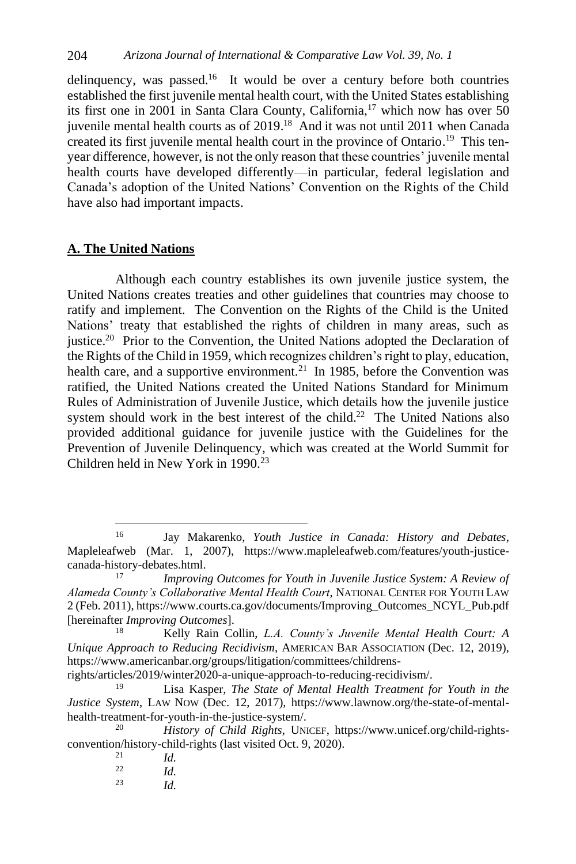delinquency, was passed.<sup>16</sup> It would be over a century before both countries established the first juvenile mental health court, with the United States establishing its first one in 2001 in Santa Clara County, California, $^{17}$  which now has over 50 juvenile mental health courts as of 2019. <sup>18</sup> And it was not until 2011 when Canada created its first juvenile mental health court in the province of Ontario. 19 This tenyear difference, however, is not the only reason that these countries' juvenile mental health courts have developed differently—in particular, federal legislation and Canada's adoption of the United Nations' Convention on the Rights of the Child have also had important impacts.

# **A. The United Nations**

Although each country establishes its own juvenile justice system, the United Nations creates treaties and other guidelines that countries may choose to ratify and implement. The Convention on the Rights of the Child is the United Nations' treaty that established the rights of children in many areas, such as justice.<sup>20</sup> Prior to the Convention, the United Nations adopted the Declaration of the Rights of the Child in 1959, which recognizes children's right to play, education, health care, and a supportive environment.<sup>21</sup> In 1985, before the Convention was ratified, the United Nations created the United Nations Standard for Minimum Rules of Administration of Juvenile Justice, which details how the juvenile justice system should work in the best interest of the child.<sup>22</sup> The United Nations also provided additional guidance for juvenile justice with the Guidelines for the Prevention of Juvenile Delinquency, which was created at the World Summit for Children held in New York in 1990.<sup>23</sup>

rights/articles/2019/winter2020-a-unique-approach-to-reducing-recidivism/.

<sup>16</sup> Jay Makarenko, *Youth Justice in Canada: History and Debates*, Mapleleafweb (Mar. 1, 2007), https://www.mapleleafweb.com/features/youth-justicecanada-history-debates.html.

<sup>17</sup> *Improving Outcomes for Youth in Juvenile Justice System: A Review of Alameda County's Collaborative Mental Health Court*, NATIONAL CENTER FOR YOUTH LAW 2 (Feb. 2011)[, https://www.courts.ca.gov/documents/Improving\\_Outcomes\\_NCYL\\_Pub.pdf](https://www.courts.ca.gov/documents/Improving_Outcomes_NCYL_Pub.pdf) [hereinafter *Improving Outcomes*].

<sup>18</sup> Kelly Rain Collin, *L.A. County's Juvenile Mental Health Court: A Unique Approach to Reducing Recidivism*, AMERICAN BAR ASSOCIATION (Dec. 12, 2019), https://www.americanbar.org/groups/litigation/committees/childrens-

Lisa Kasper, *The State of Mental Health Treatment for Youth in the Justice System*, LAW NOW (Dec. 12, 2017), https://www.lawnow.org/the-state-of-mentalhealth-treatment-for-youth-in-the-justice-system/.

History of Child Rights, UNICEF, https://www.unicef.org/child-rightsconvention/history-child-rights (last visited Oct. 9, 2020).

 $\frac{21}{22}$  *Id. Id.* <sup>23</sup> *Id.*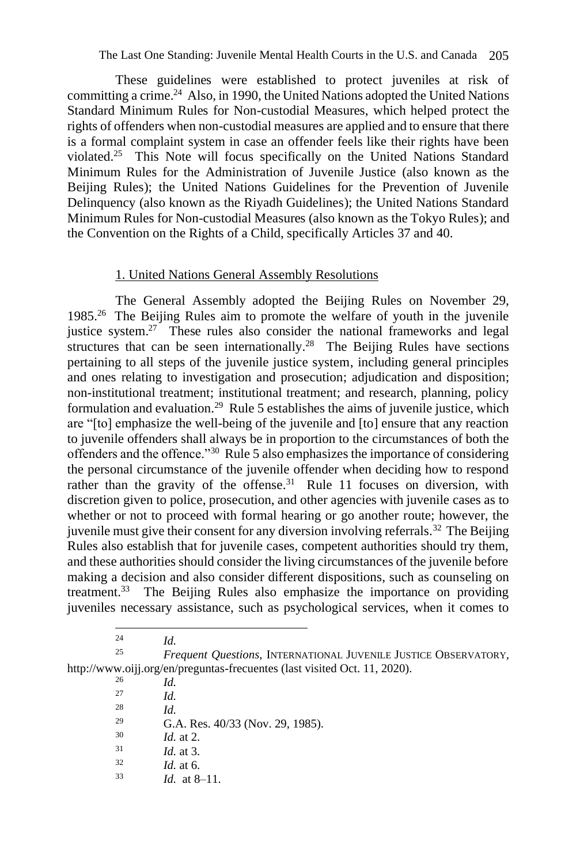These guidelines were established to protect juveniles at risk of committing a crime.<sup>24</sup> Also, in 1990, the United Nations adopted the United Nations Standard Minimum Rules for Non-custodial Measures, which helped protect the rights of offenders when non-custodial measures are applied and to ensure that there is a formal complaint system in case an offender feels like their rights have been violated.<sup>25</sup> This Note will focus specifically on the United Nations Standard Minimum Rules for the Administration of Juvenile Justice (also known as the Beijing Rules); the United Nations Guidelines for the Prevention of Juvenile Delinquency (also known as the Riyadh Guidelines); the United Nations Standard Minimum Rules for Non-custodial Measures (also known as the Tokyo Rules); and the Convention on the Rights of a Child, specifically Articles 37 and 40.

# 1. United Nations General Assembly Resolutions

The General Assembly adopted the Beijing Rules on November 29, 1985.<sup>26</sup> The Beijing Rules aim to promote the welfare of youth in the juvenile justice system.<sup>27</sup> These rules also consider the national frameworks and legal structures that can be seen internationally.<sup>28</sup> The Beijing Rules have sections pertaining to all steps of the juvenile justice system, including general principles and ones relating to investigation and prosecution; adjudication and disposition; non-institutional treatment; institutional treatment; and research, planning, policy formulation and evaluation.<sup>29</sup> Rule 5 establishes the aims of juvenile justice, which are "[to] emphasize the well-being of the juvenile and [to] ensure that any reaction to juvenile offenders shall always be in proportion to the circumstances of both the offenders and the offence."<sup>30</sup> Rule 5 also emphasizes the importance of considering the personal circumstance of the juvenile offender when deciding how to respond rather than the gravity of the offense.<sup>31</sup> Rule 11 focuses on diversion, with discretion given to police, prosecution, and other agencies with juvenile cases as to whether or not to proceed with formal hearing or go another route; however, the juvenile must give their consent for any diversion involving referrals.<sup>32</sup> The Beijing Rules also establish that for juvenile cases, competent authorities should try them, and these authorities should consider the living circumstances of the juvenile before making a decision and also consider different dispositions, such as counseling on treatment.<sup>33</sup> The Beijing Rules also emphasize the importance on providing juveniles necessary assistance, such as psychological services, when it comes to

 $\frac{24}{25}$  *Id.* <sup>25</sup> *Frequent Questions*, INTERNATIONAL JUVENILE JUSTICE OBSERVATORY, <http://www.oijj.org/en/preguntas-frecuentes> (last visited Oct. 11, 2020).

 $\frac{26}{27}$  *Id. Id.*  $\frac{28}{29}$  *Id.* <sup>29</sup> G.A. Res. 40/33 (Nov. 29, 1985).  $\frac{30}{31}$  *Id.* at 2.  $\frac{31}{32}$  *Id.* at 3. *Id.* at 6. <sup>33</sup> *Id.* at 8–11.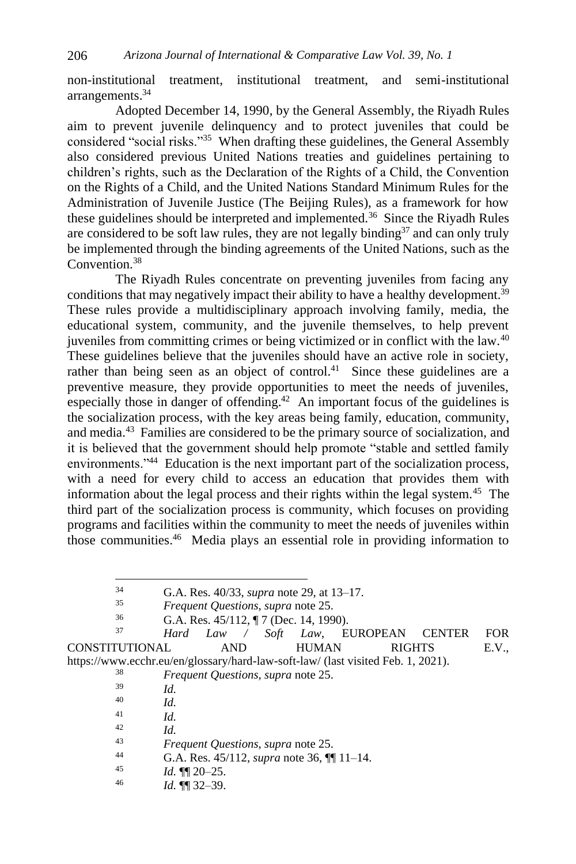non-institutional treatment, institutional treatment, and semi-institutional arrangements.<sup>34</sup>

Adopted December 14, 1990, by the General Assembly, the Riyadh Rules aim to prevent juvenile delinquency and to protect juveniles that could be considered "social risks."<sup>35</sup> When drafting these guidelines, the General Assembly also considered previous United Nations treaties and guidelines pertaining to children's rights, such as the Declaration of the Rights of a Child, the Convention on the Rights of a Child, and the United Nations Standard Minimum Rules for the Administration of Juvenile Justice (The Beijing Rules), as a framework for how these guidelines should be interpreted and implemented.<sup>36</sup> Since the Riyadh Rules are considered to be soft law rules, they are not legally binding<sup>37</sup> and can only truly be implemented through the binding agreements of the United Nations, such as the Convention.<sup>38</sup>

The Riyadh Rules concentrate on preventing juveniles from facing any conditions that may negatively impact their ability to have a healthy development.<sup>39</sup> These rules provide a multidisciplinary approach involving family, media, the educational system, community, and the juvenile themselves, to help prevent juveniles from committing crimes or being victimized or in conflict with the law.<sup>40</sup> These guidelines believe that the juveniles should have an active role in society, rather than being seen as an object of control.<sup>41</sup> Since these guidelines are a preventive measure, they provide opportunities to meet the needs of juveniles, especially those in danger of offending. $42$  An important focus of the guidelines is the socialization process, with the key areas being family, education, community, and media.<sup>43</sup> Families are considered to be the primary source of socialization, and it is believed that the government should help promote "stable and settled family environments."<sup>44</sup> Education is the next important part of the socialization process, with a need for every child to access an education that provides them with information about the legal process and their rights within the legal system.<sup>45</sup> The third part of the socialization process is community, which focuses on providing programs and facilities within the community to meet the needs of juveniles within those communities.<sup>46</sup> Media plays an essential role in providing information to

<sup>37</sup> *Hard Law / Soft Law*, EUROPEAN CENTER FOR CONSTITUTIONAL AND HUMAN RIGHTS E.V., https://www.ecchr.eu/en/glossary/hard-law-soft-law/ (last visited Feb. 1, 2021).

<sup>38</sup> *Frequent Questions*, *supra* note 25.

- $\frac{42}{43}$  *Id.*
- <sup>43</sup> *Frequent Questions*, *supra* note 25.
- 44 G.A. Res. 45/112, *supra* note 36,  $\P\P$  11–14.<br>45  $Id$  **q** $\P$  20–25
- <sup>45</sup> *Id.* ¶¶ 20–25.
- <sup>46</sup> *Id.* ¶¶ 32–39.

<sup>34</sup> G.A. Res. 40/33, *supra* note 29, at 13–17.

<sup>35</sup> *Frequent Questions*, *supra* note 25.

<sup>&</sup>lt;sup>36</sup> G.A. Res. 45/112,  $\P$  7 (Dec. 14, 1990).

 $\frac{39}{40}$  *Id.* 

*Id.* 

 $\frac{41}{42}$  *Id.*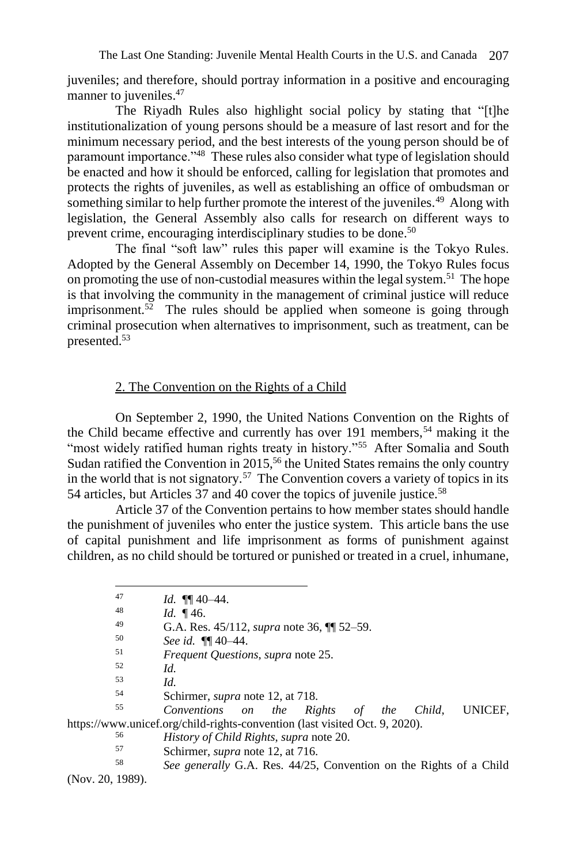juveniles; and therefore, should portray information in a positive and encouraging manner to juveniles.<sup>47</sup>

The Riyadh Rules also highlight social policy by stating that "[t]he institutionalization of young persons should be a measure of last resort and for the minimum necessary period, and the best interests of the young person should be of paramount importance."<sup>48</sup> These rules also consider what type of legislation should be enacted and how it should be enforced, calling for legislation that promotes and protects the rights of juveniles, as well as establishing an office of ombudsman or something similar to help further promote the interest of the juveniles.<sup>49</sup> Along with legislation, the General Assembly also calls for research on different ways to prevent crime, encouraging interdisciplinary studies to be done.<sup>50</sup>

The final "soft law" rules this paper will examine is the Tokyo Rules. Adopted by the General Assembly on December 14, 1990, the Tokyo Rules focus on promoting the use of non-custodial measures within the legal system.<sup>51</sup> The hope is that involving the community in the management of criminal justice will reduce imprisonment.<sup>52</sup> The rules should be applied when someone is going through criminal prosecution when alternatives to imprisonment, such as treatment, can be presented.<sup>53</sup>

# 2. The Convention on the Rights of a Child

On September 2, 1990, the United Nations Convention on the Rights of the Child became effective and currently has over 191 members,<sup>54</sup> making it the "most widely ratified human rights treaty in history."<sup>55</sup> After Somalia and South Sudan ratified the Convention in  $2015$ ,<sup>56</sup> the United States remains the only country in the world that is not signatory.<sup>57</sup> The Convention covers a variety of topics in its 54 articles, but Articles 37 and 40 cover the topics of juvenile justice.<sup>58</sup>

Article 37 of the Convention pertains to how member states should handle the punishment of juveniles who enter the justice system. This article bans the use of capital punishment and life imprisonment as forms of punishment against children, as no child should be tortured or punished or treated in a cruel, inhumane,

<sup>51</sup> *Frequent Questions*, *supra* note 25.

- $\frac{53}{54}$  *Id.*
- <sup>54</sup> Schirmer, *supra* note 12, at 718.

<sup>55</sup> *Conventions on the Rights of the Child*, UNICEF, https://www.unicef.org/child-rights-convention (last visited Oct. 9, 2020).

- <sup>56</sup> *History of Child Rights*, *supra* note 20.
- 57 Schirmer, *supra* note 12, at 716.<br>58 See generally G A Bes  $\frac{A}{25}$

See generally G.A. Res. 44/25, Convention on the Rights of a Child (Nov. 20, 1989).

<sup>47</sup> *Id.*  $\P\P$  40–44.

<sup>48</sup>  $Id. \P{46.}$ <br>49  $G \wedge P_{29}$ 

<sup>49</sup> G.A. Res. 45/112, *supra* note 36, ¶¶ 52–59.

<sup>50</sup> *See id.* ¶¶ 40–44.

 $\begin{array}{ccc} 52 & \quad Id. \\ 53 & \quad Id. \end{array}$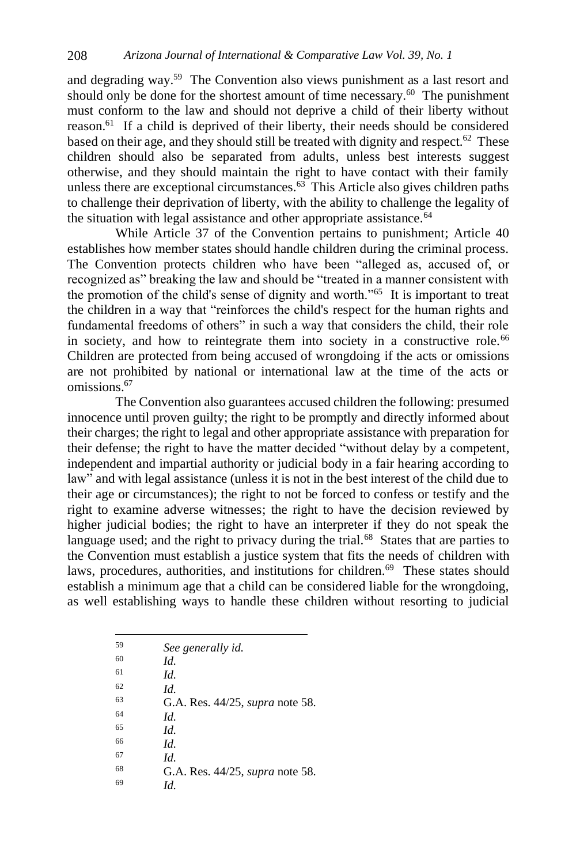and degrading way.<sup>59</sup> The Convention also views punishment as a last resort and should only be done for the shortest amount of time necessary. $60$  The punishment must conform to the law and should not deprive a child of their liberty without reason.<sup>61</sup> If a child is deprived of their liberty, their needs should be considered based on their age, and they should still be treated with dignity and respect.<sup>62</sup> These children should also be separated from adults, unless best interests suggest otherwise, and they should maintain the right to have contact with their family unless there are exceptional circumstances. $63$  This Article also gives children paths to challenge their deprivation of liberty, with the ability to challenge the legality of the situation with legal assistance and other appropriate assistance. $64$ 

While Article 37 of the Convention pertains to punishment; Article 40 establishes how member states should handle children during the criminal process. The Convention protects children who have been "alleged as, accused of, or recognized as" breaking the law and should be "treated in a manner consistent with the promotion of the child's sense of dignity and worth."<sup>65</sup> It is important to treat the children in a way that "reinforces the child's respect for the human rights and fundamental freedoms of others" in such a way that considers the child, their role in society, and how to reintegrate them into society in a constructive role.<sup>66</sup> Children are protected from being accused of wrongdoing if the acts or omissions are not prohibited by national or international law at the time of the acts or omissions.<sup>67</sup>

The Convention also guarantees accused children the following: presumed innocence until proven guilty; the right to be promptly and directly informed about their charges; the right to legal and other appropriate assistance with preparation for their defense; the right to have the matter decided "without delay by a competent, independent and impartial authority or judicial body in a fair hearing according to law" and with legal assistance (unless it is not in the best interest of the child due to their age or circumstances); the right to not be forced to confess or testify and the right to examine adverse witnesses; the right to have the decision reviewed by higher judicial bodies; the right to have an interpreter if they do not speak the language used; and the right to privacy during the trial.<sup>68</sup> States that are parties to the Convention must establish a justice system that fits the needs of children with laws, procedures, authorities, and institutions for children.<sup>69</sup> These states should establish a minimum age that a child can be considered liable for the wrongdoing, as well establishing ways to handle these children without resorting to judicial

| 59 | See generally id.                      |
|----|----------------------------------------|
| 60 | Id.                                    |
| 61 | Id.                                    |
| 62 | Id.                                    |
| 63 | G.A. Res. 44/25, <i>supra</i> note 58. |
| 64 | Id.                                    |
| 65 | Id.                                    |
| 66 | Id.                                    |
| 67 | Id.                                    |
| 68 | G.A. Res. 44/25, <i>supra</i> note 58. |
| 69 | Id.                                    |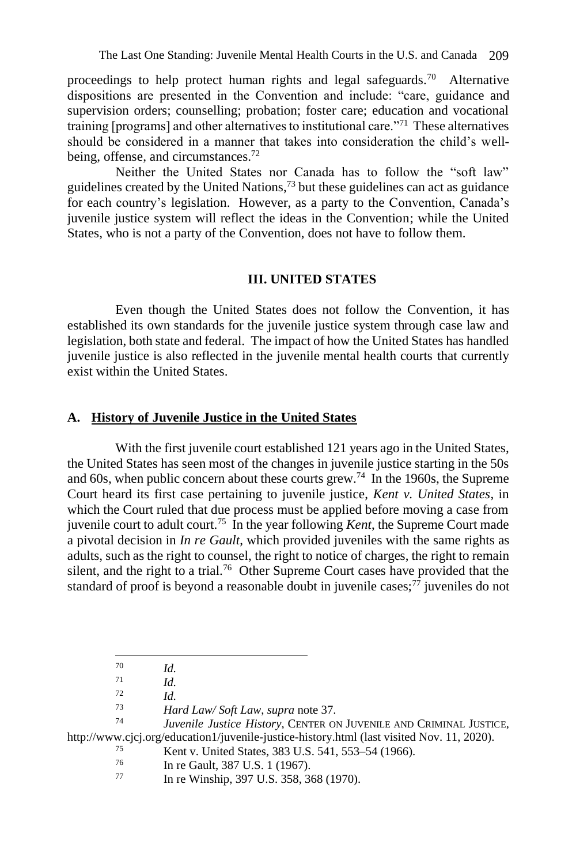proceedings to help protect human rights and legal safeguards.<sup>70</sup> Alternative dispositions are presented in the Convention and include: "care, guidance and supervision orders; counselling; probation; foster care; education and vocational training [programs] and other alternatives to institutional care."<sup>71</sup> These alternatives should be considered in a manner that takes into consideration the child's wellbeing, offense, and circumstances.<sup>72</sup>

Neither the United States nor Canada has to follow the "soft law" guidelines created by the United Nations, $73$  but these guidelines can act as guidance for each country's legislation. However, as a party to the Convention, Canada's juvenile justice system will reflect the ideas in the Convention; while the United States, who is not a party of the Convention, does not have to follow them.

#### **III. UNITED STATES**

Even though the United States does not follow the Convention, it has established its own standards for the juvenile justice system through case law and legislation, both state and federal. The impact of how the United States has handled juvenile justice is also reflected in the juvenile mental health courts that currently exist within the United States.

#### **A. History of Juvenile Justice in the United States**

With the first juvenile court established 121 years ago in the United States, the United States has seen most of the changes in juvenile justice starting in the 50s and 60s, when public concern about these courts grew.<sup>74</sup> In the 1960s, the Supreme Court heard its first case pertaining to juvenile justice, *Kent v. United States*, in which the Court ruled that due process must be applied before moving a case from juvenile court to adult court.<sup>75</sup> In the year following *Kent*, the Supreme Court made a pivotal decision in *In re Gault*, which provided juveniles with the same rights as adults, such as the right to counsel, the right to notice of charges, the right to remain silent, and the right to a trial.<sup>76</sup> Other Supreme Court cases have provided that the standard of proof is beyond a reasonable doubt in juvenile cases;<sup>77</sup> juveniles do not

 $\frac{70}{71}$  *Id.* 

 $\frac{71}{72}$  *Id.* 

 $\frac{72}{73}$  *Id.* 

<sup>73</sup> *Hard Law/ Soft Law*, *supra* note 37.

Juvenile Justice History, CENTER ON JUVENILE AND CRIMINAL JUSTICE, <http://www.cjcj.org/education1/juvenile-justice-history.html> (last visited Nov. 11, 2020).

 $^{75}$  Kent v. United States, 383 U.S. 541, 553–54 (1966).

 $^{76}$  In re Gault, 387 U.S. 1 (1967).

In re Winship, 397 U.S. 358, 368 (1970).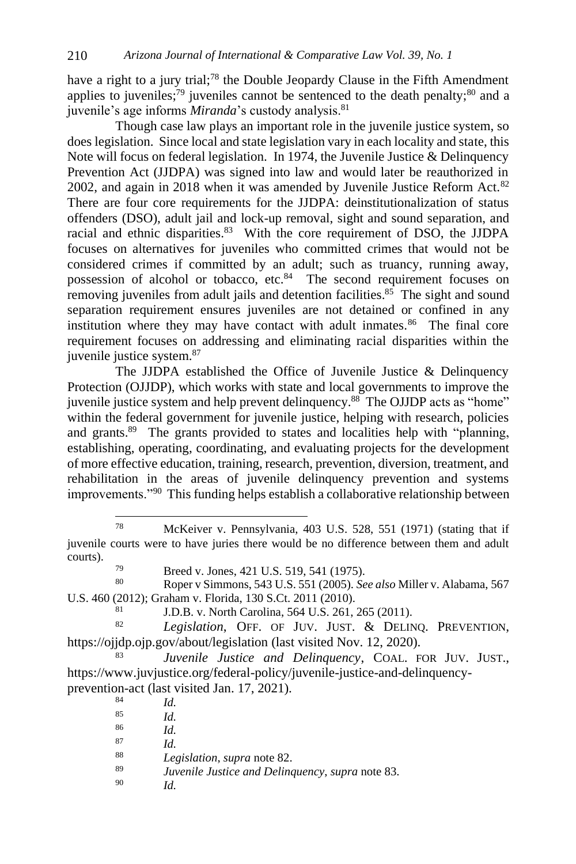have a right to a jury trial;<sup>78</sup> the Double Jeopardy Clause in the Fifth Amendment applies to juveniles;<sup>79</sup> juveniles cannot be sentenced to the death penalty; $80$  and a juvenile's age informs *Miranda*'s custody analysis.<sup>81</sup>

Though case law plays an important role in the juvenile justice system, so does legislation. Since local and state legislation vary in each locality and state, this Note will focus on federal legislation. In 1974, the Juvenile Justice & Delinquency Prevention Act (JJDPA) was signed into law and would later be reauthorized in 2002, and again in 2018 when it was amended by Juvenile Justice Reform Act.<sup>82</sup> There are four core requirements for the JJDPA: deinstitutionalization of status offenders (DSO), adult jail and lock-up removal, sight and sound separation, and racial and ethnic disparities.<sup>83</sup> With the core requirement of DSO, the JJDPA focuses on alternatives for juveniles who committed crimes that would not be considered crimes if committed by an adult; such as truancy, running away, possession of alcohol or tobacco, etc.<sup>84</sup> The second requirement focuses on removing juveniles from adult jails and detention facilities.<sup>85</sup> The sight and sound separation requirement ensures juveniles are not detained or confined in any institution where they may have contact with adult inmates. $86$  The final core requirement focuses on addressing and eliminating racial disparities within the juvenile justice system.<sup>87</sup>

The JJDPA established the Office of Juvenile Justice & Delinquency Protection (OJJDP), which works with state and local governments to improve the juvenile justice system and help prevent delinquency.<sup>88</sup> The OJJDP acts as "home" within the federal government for juvenile justice, helping with research, policies and grants.<sup>89</sup> The grants provided to states and localities help with "planning, establishing, operating, coordinating, and evaluating projects for the development of more effective education, training, research, prevention, diversion, treatment, and rehabilitation in the areas of juvenile delinquency prevention and systems improvements."<sup>90</sup> This funding helps establish a collaborative relationship between

<sup>80</sup> Roper v Simmons, 543 U.S. 551 (2005). *See also* Miller v. Alabama, 567 U.S. 460 (2012); Graham v. Florida, 130 S.Ct. 2011 (2010).

<sup>81</sup> J.D.B. v. North Carolina, 564 U.S. 261, 265 (2011).<br><sup>82</sup> *Lacislation* OFF OF HIV HIST  $\ell$ , DELIN

Legislation, OFF. OF JUV. JUST. & DELINQ. PREVENTION, <https://ojjdp.ojp.gov/about/legislation> (last visited Nov. 12, 2020).

<sup>83</sup> *Juvenile Justice and Delinquency*, COAL. FOR JUV. JUST., [https://www.juvjustice.org/federal-policy/juvenile-justice-and-delinquency](https://www.juvjustice.org/federal-policy/juvenile-justice-and-delinquency-prevention-act)[prevention-act](https://www.juvjustice.org/federal-policy/juvenile-justice-and-delinquency-prevention-act) (last visited Jan. 17, 2021).

 $\frac{84}{85}$  *Id.*  $\frac{85}{86}$  *Id.*  $\frac{86}{87}$  *Id.*  $rac{87}{88}$  *Id.* <sup>88</sup> *Legislation*, *supra* note 82. <sup>89</sup> *Juvenile Justice and Delinquency*, *supra* note 83. <sup>90</sup> *Id.*

<sup>78</sup> McKeiver v. Pennsylvania, 403 U.S. 528, 551 (1971) (stating that if juvenile courts were to have juries there would be no difference between them and adult courts).

 $^{79}$  Breed v. Jones, 421 U.S. 519, 541 (1975).<br>
Roper v Simmons, 543 U.S. 551 (2005).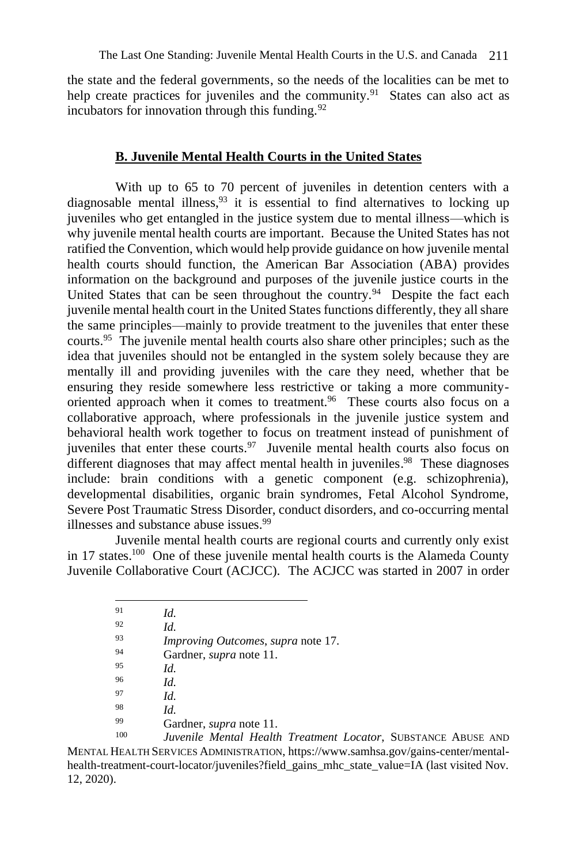the state and the federal governments, so the needs of the localities can be met to help create practices for juveniles and the community.<sup>91</sup> States can also act as incubators for innovation through this funding.  $92$ 

# **B. Juvenile Mental Health Courts in the United States**

With up to 65 to 70 percent of juveniles in detention centers with a diagnosable mental illness,  $93$  it is essential to find alternatives to locking up juveniles who get entangled in the justice system due to mental illness—which is why juvenile mental health courts are important. Because the United States has not ratified the Convention, which would help provide guidance on how juvenile mental health courts should function, the American Bar Association (ABA) provides information on the background and purposes of the juvenile justice courts in the United States that can be seen throughout the country.<sup>94</sup> Despite the fact each juvenile mental health court in the United States functions differently, they all share the same principles—mainly to provide treatment to the juveniles that enter these courts.<sup>95</sup> The juvenile mental health courts also share other principles; such as the idea that juveniles should not be entangled in the system solely because they are mentally ill and providing juveniles with the care they need, whether that be ensuring they reside somewhere less restrictive or taking a more communityoriented approach when it comes to treatment.<sup>96</sup> These courts also focus on a collaborative approach, where professionals in the juvenile justice system and behavioral health work together to focus on treatment instead of punishment of juveniles that enter these courts.<sup>97</sup> Juvenile mental health courts also focus on different diagnoses that may affect mental health in juveniles.<sup>98</sup> These diagnoses include: brain conditions with a genetic component (e.g. schizophrenia), developmental disabilities, organic brain syndromes, Fetal Alcohol Syndrome, Severe Post Traumatic Stress Disorder, conduct disorders, and co-occurring mental illnesses and substance abuse issues.<sup>99</sup>

Juvenile mental health courts are regional courts and currently only exist in 17 states.<sup>100</sup> One of these juvenile mental health courts is the Alameda County Juvenile Collaborative Court (ACJCC). The ACJCC was started in 2007 in order

| 91  | Id.                                       |
|-----|-------------------------------------------|
| 92  | Id.                                       |
| 93  | <i>Improving Outcomes, supra note 17.</i> |
| 94  | Gardner, <i>supra</i> note 11.            |
| 95  | Id.                                       |
| 96  | Id.                                       |
| 97  | Id.                                       |
| 98  | Id.                                       |
| 99  | Gardner, <i>supra</i> note 11.            |
| 100 | Invarile Mental Health Treatment          |

Juvenile Mental Health Treatment Locator, SUBSTANCE ABUSE AND MENTAL HEALTH SERVICES ADMINISTRATION, https://www.samhsa.gov/gains-center/mentalhealth-treatment-court-locator/juveniles?field\_gains\_mhc\_state\_value=IA (last visited Nov. 12, 2020).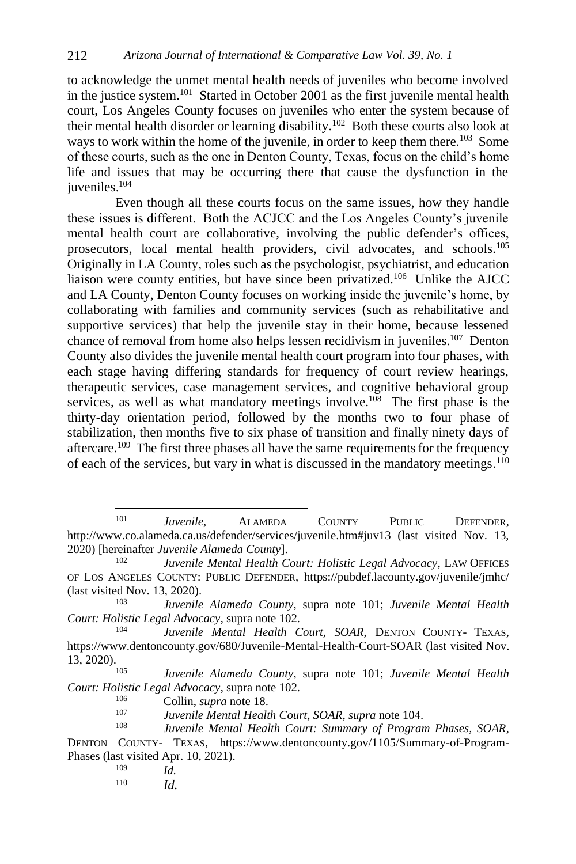to acknowledge the unmet mental health needs of juveniles who become involved in the justice system.<sup>101</sup> Started in October 2001 as the first juvenile mental health court, Los Angeles County focuses on juveniles who enter the system because of their mental health disorder or learning disability.<sup>102</sup> Both these courts also look at ways to work within the home of the juvenile, in order to keep them there.<sup>103</sup> Some of these courts, such as the one in Denton County, Texas, focus on the child's home life and issues that may be occurring there that cause the dysfunction in the juveniles.<sup>104</sup>

Even though all these courts focus on the same issues, how they handle these issues is different. Both the ACJCC and the Los Angeles County's juvenile mental health court are collaborative, involving the public defender's offices, prosecutors, local mental health providers, civil advocates, and schools.<sup>105</sup> Originally in LA County, roles such as the psychologist, psychiatrist, and education liaison were county entities, but have since been privatized.<sup>106</sup> Unlike the AJCC and LA County, Denton County focuses on working inside the juvenile's home, by collaborating with families and community services (such as rehabilitative and supportive services) that help the juvenile stay in their home, because lessened chance of removal from home also helps lessen recidivism in juveniles.<sup>107</sup> Denton County also divides the juvenile mental health court program into four phases, with each stage having differing standards for frequency of court review hearings, therapeutic services, case management services, and cognitive behavioral group services, as well as what mandatory meetings involve.<sup>108</sup> The first phase is the thirty-day orientation period, followed by the months two to four phase of stabilization, then months five to six phase of transition and finally ninety days of aftercare.<sup>109</sup> The first three phases all have the same requirements for the frequency of each of the services, but vary in what is discussed in the mandatory meetings.<sup>110</sup>

- *Id.*
- <sup>110</sup> *Id.*

<sup>101</sup> *Juvenile*, ALAMEDA COUNTY PUBLIC DEFENDER, http://www.co.alameda.ca.us/defender/services/juvenile.htm#juv13 (last visited Nov. 13, 2020) [hereinafter *Juvenile Alameda County*].

<sup>102</sup> *Juvenile Mental Health Court: Holistic Legal Advocacy*, LAW OFFICES OF LOS ANGELES COUNTY: PUBLIC DEFENDER, https://pubdef.lacounty.gov/juvenile/jmhc/ (last visited Nov. 13, 2020).

<sup>103</sup> *Juvenile Alameda County*, supra note 101; *Juvenile Mental Health Court: Holistic Legal Advocacy*, supra note 102.

<sup>104</sup> *Juvenile Mental Health Court, SOAR*, DENTON COUNTY- TEXAS, https://www.dentoncounty.gov/680/Juvenile-Mental-Health-Court-SOAR (last visited Nov. 13, 2020).

<sup>105</sup> *Juvenile Alameda County*, supra note 101; *Juvenile Mental Health Court: Holistic Legal Advocacy*, supra note 102.

<sup>106</sup> Collin, *supra* note 18.

<sup>107</sup> *Juvenile Mental Health Court, SOAR*, *supra* note 104.

Juvenile Mental Health Court: Summary of Program Phases, SOAR, DENTON COUNTY- TEXAS, https://www.dentoncounty.gov/1105/Summary-of-Program-Phases (last visited Apr. 10, 2021).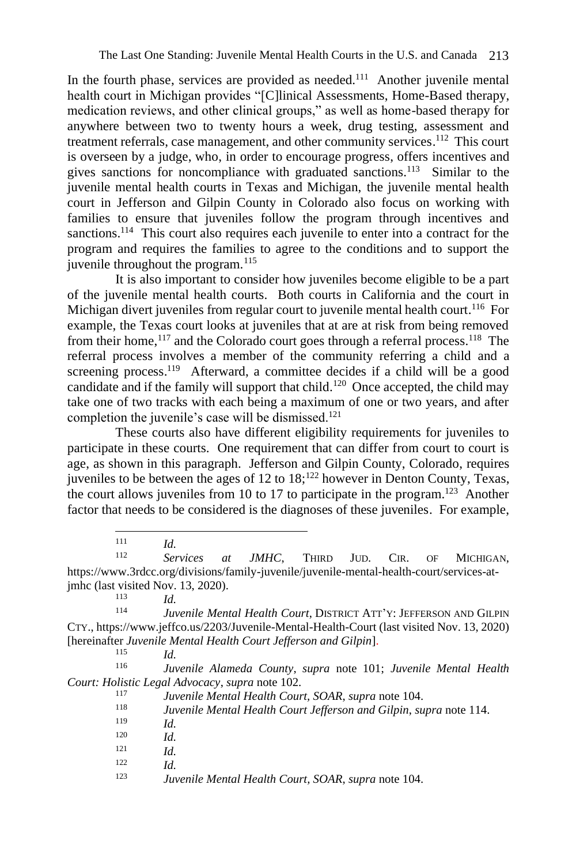In the fourth phase, services are provided as needed.<sup>111</sup> Another juvenile mental health court in Michigan provides "[C]linical Assessments, Home-Based therapy, medication reviews, and other clinical groups," as well as home-based therapy for anywhere between two to twenty hours a week, drug testing, assessment and treatment referrals, case management, and other community services.<sup>112</sup> This court is overseen by a judge, who, in order to encourage progress, offers incentives and gives sanctions for noncompliance with graduated sanctions.<sup>113</sup> Similar to the juvenile mental health courts in Texas and Michigan, the juvenile mental health court in Jefferson and Gilpin County in Colorado also focus on working with families to ensure that juveniles follow the program through incentives and sanctions.<sup>114</sup> This court also requires each juvenile to enter into a contract for the program and requires the families to agree to the conditions and to support the juvenile throughout the program.<sup>115</sup>

It is also important to consider how juveniles become eligible to be a part of the juvenile mental health courts. Both courts in California and the court in Michigan divert juveniles from regular court to juvenile mental health court. <sup>116</sup> For example, the Texas court looks at juveniles that at are at risk from being removed from their home,<sup>117</sup> and the Colorado court goes through a referral process.<sup>118</sup> The referral process involves a member of the community referring a child and a screening process.<sup>119</sup> Afterward, a committee decides if a child will be a good candidate and if the family will support that child.<sup>120</sup> Once accepted, the child may take one of two tracks with each being a maximum of one or two years, and after completion the juvenile's case will be dismissed.<sup>121</sup>

These courts also have different eligibility requirements for juveniles to participate in these courts. One requirement that can differ from court to court is age, as shown in this paragraph. Jefferson and Gilpin County, Colorado, requires juveniles to be between the ages of 12 to 18;<sup>122</sup> however in Denton County, Texas, the court allows juveniles from 10 to 17 to participate in the program.<sup>123</sup> Another factor that needs to be considered is the diagnoses of these juveniles. For example,

Services at JMHC, THIRD JUD. CIR. OF MICHIGAN, https://www.3rdcc.org/divisions/family-juvenile/juvenile-mental-health-court/services-atjmhc (last visited Nov. 13, 2020).

 $\frac{113}{114}$  *Id.* 

<sup>116</sup> *Juvenile Alameda County*, *supra* note 101; *Juvenile Mental Health Court: Holistic Legal Advocacy*, *supra* note 102.

- <sup>118</sup> *Juvenile Mental Health Court Jefferson and Gilpin*, *supra* note 114.
- $\frac{119}{120}$  *Id.*
- $Id.$
- $\frac{121}{122}$  *Id.*
- $Id$
- <sup>123</sup> *Juvenile Mental Health Court, SOAR*, *supra* note 104.

 $111$  *Id.*<br> $112$  **F**<sub>c</sub>

Juvenile Mental Health Court, DISTRICT ATT'Y: JEFFERSON AND GILPIN CTY., https://www.jeffco.us/2203/Juvenile-Mental-Health-Court (last visited Nov. 13, 2020) [hereinafter *Juvenile Mental Health Court Jefferson and Gilpin*].

 $\frac{115}{116}$  *Id.* 

<sup>117</sup> *Juvenile Mental Health Court, SOAR*, *supra* note 104.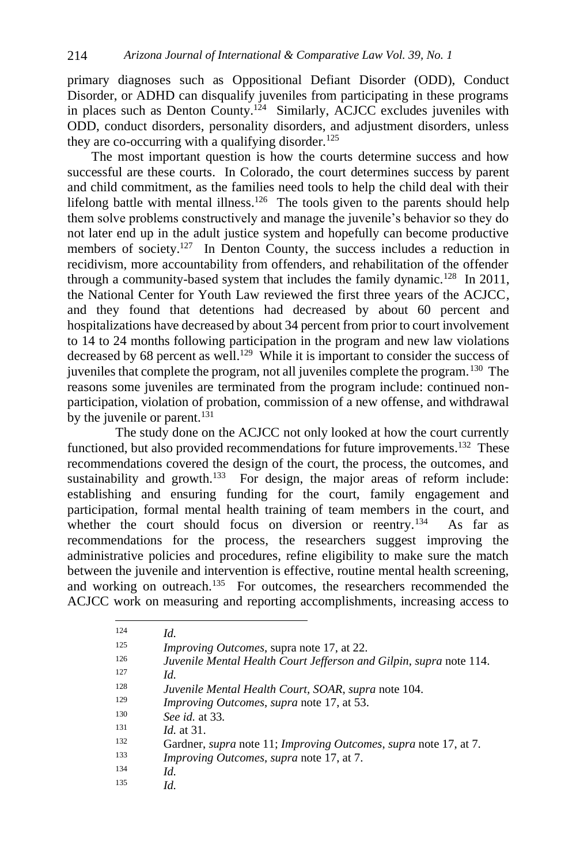primary diagnoses such as Oppositional Defiant Disorder (ODD), Conduct Disorder, or ADHD can disqualify juveniles from participating in these programs in places such as Denton County.<sup>124</sup> Similarly, ACJCC excludes juveniles with ODD, conduct disorders, personality disorders, and adjustment disorders, unless they are co-occurring with a qualifying disorder.<sup>125</sup>

The most important question is how the courts determine success and how successful are these courts. In Colorado, the court determines success by parent and child commitment, as the families need tools to help the child deal with their lifelong battle with mental illness.<sup>126</sup> The tools given to the parents should help them solve problems constructively and manage the juvenile's behavior so they do not later end up in the adult justice system and hopefully can become productive members of society.<sup>127</sup> In Denton County, the success includes a reduction in recidivism, more accountability from offenders, and rehabilitation of the offender through a community-based system that includes the family dynamic.<sup>128</sup> In 2011, the National Center for Youth Law reviewed the first three years of the ACJCC, and they found that detentions had decreased by about 60 percent and hospitalizations have decreased by about 34 percent from prior to court involvement to 14 to 24 months following participation in the program and new law violations decreased by 68 percent as well.<sup>129</sup> While it is important to consider the success of juveniles that complete the program, not all juveniles complete the program.<sup>130</sup> The reasons some juveniles are terminated from the program include: continued nonparticipation, violation of probation, commission of a new offense, and withdrawal by the juvenile or parent. $^{131}$ 

The study done on the ACJCC not only looked at how the court currently functioned, but also provided recommendations for future improvements.<sup>132</sup> These recommendations covered the design of the court, the process, the outcomes, and sustainability and growth. $133$  For design, the major areas of reform include: establishing and ensuring funding for the court, family engagement and participation, formal mental health training of team members in the court, and whether the court should focus on diversion or reentry.<sup>134</sup> As far as recommendations for the process, the researchers suggest improving the administrative policies and procedures, refine eligibility to make sure the match between the juvenile and intervention is effective, routine mental health screening, and working on outreach.<sup>135</sup> For outcomes, the researchers recommended the ACJCC work on measuring and reporting accomplishments, increasing access to

| 124 | Id.                                                                                    |
|-----|----------------------------------------------------------------------------------------|
| 125 | Improving Outcomes, supra note 17, at 22.                                              |
| 126 | Juvenile Mental Health Court Jefferson and Gilpin, supra note 114.                     |
| 127 | Id.                                                                                    |
| 128 | Juvenile Mental Health Court, SOAR, supra note 104.                                    |
| 129 | <i>Improving Outcomes, supra note 17, at 53.</i>                                       |
| 130 | See id. at 33.                                                                         |
| 131 | $Id$ at 31.                                                                            |
| 132 | Gardner, <i>supra</i> note 11; <i>Improving Outcomes</i> , <i>supra</i> note 17, at 7. |
| 133 | <i>Improving Outcomes, supra note 17, at 7.</i>                                        |
| 134 | Id.                                                                                    |
| 135 | Id.                                                                                    |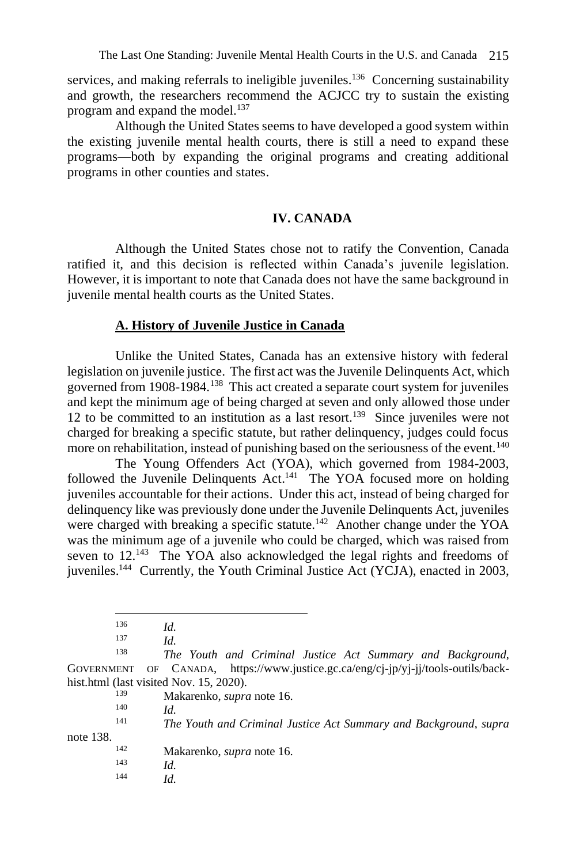services, and making referrals to ineligible juveniles.<sup>136</sup> Concerning sustainability and growth, the researchers recommend the ACJCC try to sustain the existing program and expand the model.<sup>137</sup>

Although the United States seems to have developed a good system within the existing juvenile mental health courts, there is still a need to expand these programs—both by expanding the original programs and creating additional programs in other counties and states.

# **IV. CANADA**

Although the United States chose not to ratify the Convention, Canada ratified it, and this decision is reflected within Canada's juvenile legislation. However, it is important to note that Canada does not have the same background in juvenile mental health courts as the United States.

### **A. History of Juvenile Justice in Canada**

Unlike the United States, Canada has an extensive history with federal legislation on juvenile justice. The first act was the Juvenile Delinquents Act, which governed from 1908-1984.<sup>138</sup> This act created a separate court system for juveniles and kept the minimum age of being charged at seven and only allowed those under 12 to be committed to an institution as a last resort.<sup>139</sup> Since juveniles were not charged for breaking a specific statute, but rather delinquency, judges could focus more on rehabilitation, instead of punishing based on the seriousness of the event.<sup>140</sup>

The Young Offenders Act (YOA), which governed from 1984-2003, followed the Juvenile Delinquents  $Act.^{141}$  The YOA focused more on holding juveniles accountable for their actions. Under this act, instead of being charged for delinquency like was previously done under the Juvenile Delinquents Act, juveniles were charged with breaking a specific statute.<sup>142</sup> Another change under the YOA was the minimum age of a juvenile who could be charged, which was raised from seven to  $12.^{143}$  The YOA also acknowledged the legal rights and freedoms of juveniles.<sup>144</sup> Currently, the Youth Criminal Justice Act (YCJA), enacted in 2003,

<sup>139</sup> Makarenko, *supra* note 16.

 $140$  *Id.*<br> $141$  *Th* 

<sup>141</sup> *The Youth and Criminal Justice Act Summary and Background*, *supra* 

note 138.

<sup>142</sup> Makarenko, *supra* note 16.

- $\frac{143}{144}$  *Id.*
- $Id$

 $\frac{136}{137}$  *Id.* 

 $\frac{137}{138}$  *Id.* 

<sup>138</sup> *The Youth and Criminal Justice Act Summary and Background*, GOVERNMENT OF CANADA, [https://www.justice.gc.ca/eng/cj-jp/yj-jj/tools-outils/back](https://www.justice.gc.ca/eng/cj-jp/yj-jj/tools-outils/back-hist.html)[hist.html](https://www.justice.gc.ca/eng/cj-jp/yj-jj/tools-outils/back-hist.html) (last visited Nov. 15, 2020).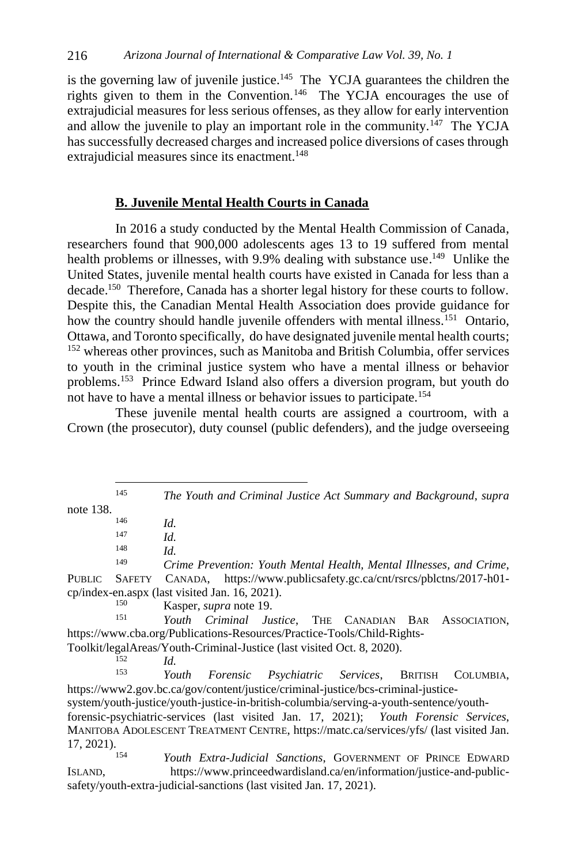is the governing law of juvenile justice.<sup>145</sup> The YCJA guarantees the children the rights given to them in the Convention.<sup>146</sup> The YCJA encourages the use of extrajudicial measures for less serious offenses, as they allow for early intervention and allow the juvenile to play an important role in the community.<sup>147</sup> The YCJA has successfully decreased charges and increased police diversions of cases through extrajudicial measures since its enactment.<sup>148</sup>

### **B. Juvenile Mental Health Courts in Canada**

In 2016 a study conducted by the Mental Health Commission of Canada, researchers found that 900,000 adolescents ages 13 to 19 suffered from mental health problems or illnesses, with 9.9% dealing with substance use.<sup>149</sup> Unlike the United States, juvenile mental health courts have existed in Canada for less than a decade.<sup>150</sup> Therefore, Canada has a shorter legal history for these courts to follow. Despite this, the Canadian Mental Health Association does provide guidance for how the country should handle juvenile offenders with mental illness.<sup>151</sup> Ontario, Ottawa, and Toronto specifically, do have designated juvenile mental health courts; <sup>152</sup> whereas other provinces, such as Manitoba and British Columbia, offer services to youth in the criminal justice system who have a mental illness or behavior problems.<sup>153</sup> Prince Edward Island also offers a diversion program, but youth do not have to have a mental illness or behavior issues to participate.<sup>154</sup>

These juvenile mental health courts are assigned a courtroom, with a Crown (the prosecutor), duty counsel (public defenders), and the judge overseeing

<sup>145</sup> *The Youth and Criminal Justice Act Summary and Background*, *supra*  note 138.

 $\frac{146}{147}$  *Id.* 

 $\frac{147}{148}$  *Id.* 

 $\frac{148}{149}$  *Id.* 

<sup>149</sup> *Crime Prevention: Youth Mental Health, Mental Illnesses, and Crime*, PUBLIC SAFETY CANADA, [https://www.publicsafety.gc.ca/cnt/rsrcs/pblctns/2017-h01](https://www.publicsafety.gc.ca/cnt/rsrcs/pblctns/2017-h01-cp/index-en.aspx) [cp/index-en.aspx](https://www.publicsafety.gc.ca/cnt/rsrcs/pblctns/2017-h01-cp/index-en.aspx) (last visited Jan. 16, 2021).

<sup>150</sup> Kasper, *supra* note 19.

Youth Criminal Justice, THE CANADIAN BAR ASSOCIATION, https://www.cba.org/Publications-Resources/Practice-Tools/Child-Rights-

Toolkit/legalAreas/Youth-Criminal-Justice (last visited Oct. 8, 2020).

 $\frac{152}{153}$  *Id.* 

<sup>153</sup> *Youth Forensic Psychiatric Services*, BRITISH COLUMBIA, [https://www2.gov.bc.ca/gov/content/justice/criminal-justice/bcs-criminal-justice-](https://www2.gov.bc.ca/gov/content/justice/criminal-justice/bcs-criminal-justice-system/youth-justice/youth-justice-in-british-columbia/serving-a-youth-sentence/youth-forensic-psychiatric-services)

[system/youth-justice/youth-justice-in-british-columbia/serving-a-youth-sentence/youth-](https://www2.gov.bc.ca/gov/content/justice/criminal-justice/bcs-criminal-justice-system/youth-justice/youth-justice-in-british-columbia/serving-a-youth-sentence/youth-forensic-psychiatric-services)

[forensic-psychiatric-services](https://www2.gov.bc.ca/gov/content/justice/criminal-justice/bcs-criminal-justice-system/youth-justice/youth-justice-in-british-columbia/serving-a-youth-sentence/youth-forensic-psychiatric-services) (last visited Jan. 17, 2021); *Youth Forensic Services*, MANITOBA ADOLESCENT TREATMENT CENTRE,<https://matc.ca/services/yfs/> (last visited Jan. 17, 2021).

Youth Extra-Judicial Sanctions, GOVERNMENT OF PRINCE EDWARD ISLAND, [https://www.princeedwardisland.ca/en/information/justice-and-public](https://www.princeedwardisland.ca/en/information/justice-and-public-safety/youth-extra-judicial-sanctions)[safety/youth-extra-judicial-sanctions](https://www.princeedwardisland.ca/en/information/justice-and-public-safety/youth-extra-judicial-sanctions) (last visited Jan. 17, 2021).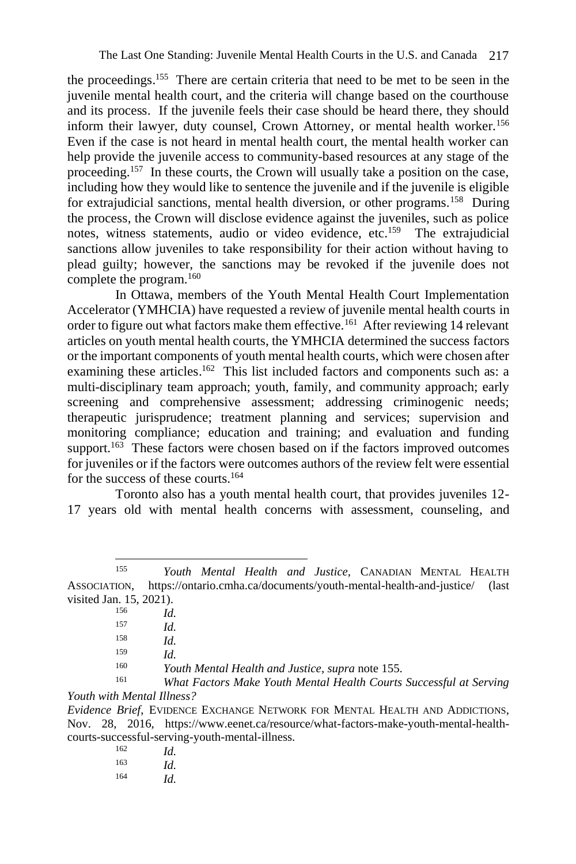the proceedings. 155 There are certain criteria that need to be met to be seen in the juvenile mental health court, and the criteria will change based on the courthouse and its process. If the juvenile feels their case should be heard there, they should inform their lawyer, duty counsel, Crown Attorney, or mental health worker.<sup>156</sup> Even if the case is not heard in mental health court, the mental health worker can help provide the juvenile access to community-based resources at any stage of the proceeding.<sup>157</sup> In these courts, the Crown will usually take a position on the case, including how they would like to sentence the juvenile and if the juvenile is eligible for extrajudicial sanctions, mental health diversion, or other programs.<sup>158</sup> During the process, the Crown will disclose evidence against the juveniles, such as police notes, witness statements, audio or video evidence, etc.<sup>159</sup> The extrajudicial sanctions allow juveniles to take responsibility for their action without having to plead guilty; however, the sanctions may be revoked if the juvenile does not complete the program.<sup>160</sup>

In Ottawa, members of the Youth Mental Health Court Implementation Accelerator (YMHCIA) have requested a review of juvenile mental health courts in order to figure out what factors make them effective.<sup>161</sup> After reviewing 14 relevant articles on youth mental health courts, the YMHCIA determined the success factors or the important components of youth mental health courts, which were chosen after examining these articles.<sup>162</sup> This list included factors and components such as: a multi-disciplinary team approach; youth, family, and community approach; early screening and comprehensive assessment; addressing criminogenic needs; therapeutic jurisprudence; treatment planning and services; supervision and monitoring compliance; education and training; and evaluation and funding support.<sup>163</sup> These factors were chosen based on if the factors improved outcomes for juveniles or if the factors were outcomes authors of the review felt were essential for the success of these courts.<sup>164</sup>

Toronto also has a youth mental health court, that provides juveniles 12- 17 years old with mental health concerns with assessment, counseling, and

<sup>155</sup> *Youth Mental Health and Justice*, CANADIAN MENTAL HEALTH ASSOCIATION, https://ontario.cmha.ca/documents/youth-mental-health-and-justice/ (last visited Jan. 15, 2021).

| 156 | Id.         |
|-----|-------------|
| 157 | Id.         |
| 158 | Id          |
| 159 | Id          |
| 160 | Youth Mente |
| 1/1 |             |

<sup>160</sup> *Youth Mental Health and Justice*, *supra* note 155. <sup>161</sup> *What Factors Make Youth Mental Health Courts Successful at Serving* 

*Youth with Mental Illness?*

*Evidence Brief*, EVIDENCE EXCHANGE NETWORK FOR MENTAL HEALTH AND ADDICTIONS, Nov. 28, 2016, [https://www.eenet.ca/resource/what-factors-make-youth-mental-health](https://www.eenet.ca/resource/what-factors-make-youth-mental-health-courts-successful-serving-youth-mental-illness)[courts-successful-serving-youth-mental-illness.](https://www.eenet.ca/resource/what-factors-make-youth-mental-health-courts-successful-serving-youth-mental-illness)

| 162 | Id. |
|-----|-----|
| 163 | Id. |
| 164 | Id. |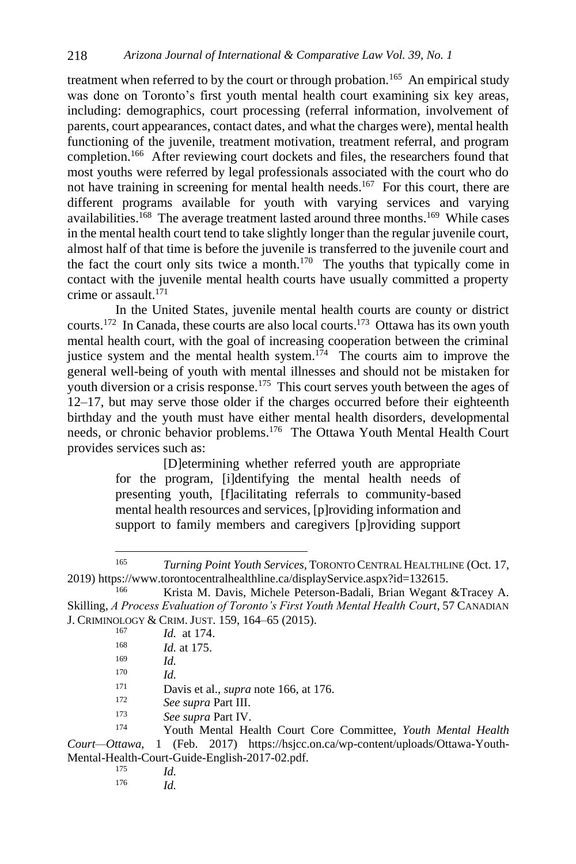treatment when referred to by the court or through probation.<sup>165</sup> An empirical study was done on Toronto's first youth mental health court examining six key areas, including: demographics, court processing (referral information, involvement of parents, court appearances, contact dates, and what the charges were), mental health functioning of the juvenile, treatment motivation, treatment referral, and program completion.<sup>166</sup> After reviewing court dockets and files, the researchers found that most youths were referred by legal professionals associated with the court who do not have training in screening for mental health needs.<sup>167</sup> For this court, there are different programs available for youth with varying services and varying availabilities.<sup>168</sup> The average treatment lasted around three months.<sup>169</sup> While cases in the mental health court tend to take slightly longer than the regular juvenile court, almost half of that time is before the juvenile is transferred to the juvenile court and the fact the court only sits twice a month. $170$  The youths that typically come in contact with the juvenile mental health courts have usually committed a property crime or assault. $171$ 

In the United States, juvenile mental health courts are county or district courts. <sup>172</sup> In Canada, these courts are also local courts. 173 Ottawa has its own youth mental health court, with the goal of increasing cooperation between the criminal justice system and the mental health system.<sup>174</sup> The courts aim to improve the general well-being of youth with mental illnesses and should not be mistaken for youth diversion or a crisis response.<sup>175</sup> This court serves youth between the ages of 12–17, but may serve those older if the charges occurred before their eighteenth birthday and the youth must have either mental health disorders, developmental needs, or chronic behavior problems.<sup>176</sup> The Ottawa Youth Mental Health Court provides services such as:

> [D]etermining whether referred youth are appropriate for the program, [i]dentifying the mental health needs of presenting youth, [f]acilitating referrals to community-based mental health resources and services, [p]roviding information and support to family members and caregivers [p]roviding support

<sup>166</sup> Krista M. Davis, Michele Peterson-Badali, Brian Wegant &Tracey A. Skilling, *A Process Evaluation of Toronto's First Youth Mental Health Court*, 57 CANADIAN J. CRIMINOLOGY & CRIM. JUST. 159, 164–65 (2015).

| 167    | <i>Id.</i> at 174. |  |
|--------|--------------------|--|
| $\sim$ |                    |  |

- <sup>168</sup> *Id.* at 175.
- $\frac{169}{170}$  *Id.*

 $\frac{170}{171}$  *Id.* 

<sup>171</sup> Davis et al., *supra* note 166, at 176.

- See supra Part III.
- <sup>173</sup> *See supra* Part IV.

<sup>174</sup> Youth Mental Health Court Core Committee, *Youth Mental Health Court—Ottawa*, 1 (Feb. 2017) https://hsjcc.on.ca/wp-content/uploads/Ottawa-Youth-Mental-Health-Court-Guide-English-2017-02.pdf.

- *Id.*
- <sup>176</sup> *Id.*

<sup>165</sup> *Turning Point Youth Services,* TORONTO CENTRAL HEALTHLINE (Oct. 17, 2019) https://www.torontocentralhealthline.ca/displayService.aspx?id=132615.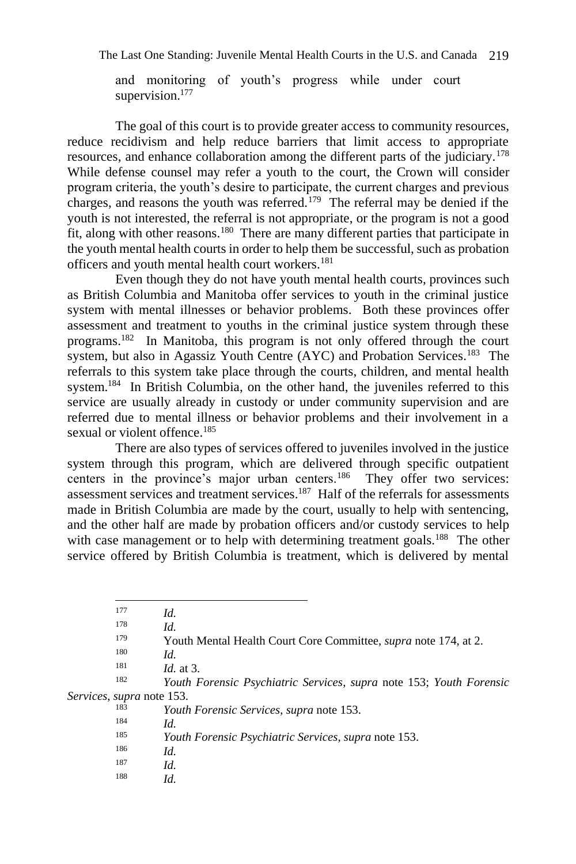and monitoring of youth's progress while under court supervision.<sup>177</sup>

The goal of this court is to provide greater access to community resources, reduce recidivism and help reduce barriers that limit access to appropriate resources, and enhance collaboration among the different parts of the judiciary.<sup>178</sup> While defense counsel may refer a youth to the court, the Crown will consider program criteria, the youth's desire to participate, the current charges and previous charges, and reasons the youth was referred.<sup>179</sup> The referral may be denied if the youth is not interested, the referral is not appropriate, or the program is not a good fit, along with other reasons.<sup>180</sup> There are many different parties that participate in the youth mental health courts in order to help them be successful, such as probation officers and youth mental health court workers.<sup>181</sup>

Even though they do not have youth mental health courts, provinces such as British Columbia and Manitoba offer services to youth in the criminal justice system with mental illnesses or behavior problems. Both these provinces offer assessment and treatment to youths in the criminal justice system through these programs.<sup>182</sup> In Manitoba, this program is not only offered through the court system, but also in Agassiz Youth Centre (AYC) and Probation Services.<sup>183</sup> The referrals to this system take place through the courts, children, and mental health system.<sup>184</sup> In British Columbia, on the other hand, the juveniles referred to this service are usually already in custody or under community supervision and are referred due to mental illness or behavior problems and their involvement in a sexual or violent offence.<sup>185</sup>

There are also types of services offered to juveniles involved in the justice system through this program, which are delivered through specific outpatient centers in the province's major urban centers.<sup>186</sup> They offer two services: assessment services and treatment services.<sup>187</sup> Half of the referrals for assessments made in British Columbia are made by the court, usually to help with sentencing, and the other half are made by probation officers and/or custody services to help with case management or to help with determining treatment goals.<sup>188</sup> The other service offered by British Columbia is treatment, which is delivered by mental

<sup>182</sup> *Youth Forensic Psychiatric Services*, *supra* note 153; *Youth Forensic Services*, *supra* note 153.

| 183 | Youth Forensic Services, supra note 153.             |  |
|-----|------------------------------------------------------|--|
| 184 | Id.                                                  |  |
| 185 | Youth Forensic Psychiatric Services, supra note 153. |  |
| 186 | Id.                                                  |  |
| 187 | Id.                                                  |  |
| 188 | Id.                                                  |  |

 $177$  *Id.*<br> $178$  *Id.* 

*Id.* 

<sup>&</sup>lt;sup>179</sup> Youth Mental Health Court Core Committee, *supra* note 174, at 2.

 $\frac{180}{181}$  *Id.* 

 $\frac{181}{182}$  *Id.* at 3.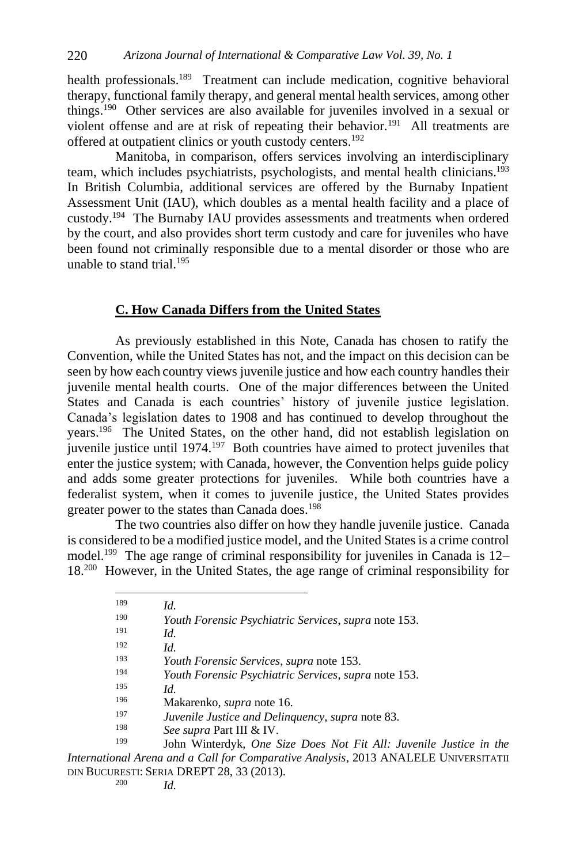health professionals.<sup>189</sup> Treatment can include medication, cognitive behavioral therapy, functional family therapy, and general mental health services, among other things.<sup>190</sup> Other services are also available for juveniles involved in a sexual or violent offense and are at risk of repeating their behavior.<sup>191</sup> All treatments are offered at outpatient clinics or youth custody centers.<sup>192</sup>

Manitoba, in comparison, offers services involving an interdisciplinary team, which includes psychiatrists, psychologists, and mental health clinicians.<sup>193</sup> In British Columbia, additional services are offered by the Burnaby Inpatient Assessment Unit (IAU), which doubles as a mental health facility and a place of custody.<sup>194</sup> The Burnaby IAU provides assessments and treatments when ordered by the court, and also provides short term custody and care for juveniles who have been found not criminally responsible due to a mental disorder or those who are unable to stand trial.<sup>195</sup>

#### **C. How Canada Differs from the United States**

As previously established in this Note, Canada has chosen to ratify the Convention, while the United States has not, and the impact on this decision can be seen by how each country views juvenile justice and how each country handles their juvenile mental health courts. One of the major differences between the United States and Canada is each countries' history of juvenile justice legislation. Canada's legislation dates to 1908 and has continued to develop throughout the years.<sup>196</sup> The United States, on the other hand, did not establish legislation on juvenile justice until 1974.<sup>197</sup> Both countries have aimed to protect juveniles that enter the justice system; with Canada, however, the Convention helps guide policy and adds some greater protections for juveniles. While both countries have a federalist system, when it comes to juvenile justice, the United States provides greater power to the states than Canada does.<sup>198</sup>

The two countries also differ on how they handle juvenile justice. Canada is considered to be a modified justice model, and the United States is a crime control model.<sup>199</sup> The age range of criminal responsibility for juveniles in Canada is  $12-$ 18. 200 However, in the United States, the age range of criminal responsibility for

| 189 | Id.                                                         |
|-----|-------------------------------------------------------------|
| 190 | Youth Forensic Psychiatric Services, supra note 153.        |
| 191 | Id.                                                         |
| 192 | Id.                                                         |
| 193 | <i>Youth Forensic Services, supra</i> note 153.             |
| 194 | <i>Youth Forensic Psychiatric Services, supra note 153.</i> |
| 195 | Id.                                                         |
| 196 | Makarenko, <i>supra</i> note 16.                            |
| 197 | Juvenile Justice and Delinguency, supra note 83.            |
| 198 | See supra Part III & IV.                                    |
| 199 | John Winterdyk. One Size Does Not Fit All: Juvenile         |

Justice in the *International Arena and a Call for Comparative Analysis*, 2013 ANALELE UNIVERSITATII DIN BUCURESTI: SERIA DREPT 28, 33 (2013).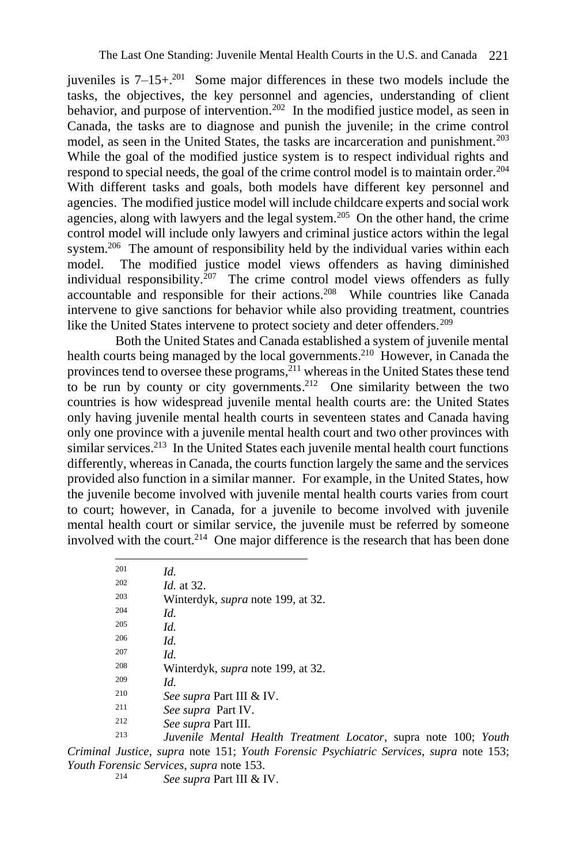juveniles is  $7-15+$ <sup>201</sup> Some major differences in these two models include the tasks, the objectives, the key personnel and agencies, understanding of client behavior, and purpose of intervention.<sup>202</sup> In the modified justice model, as seen in Canada, the tasks are to diagnose and punish the juvenile; in the crime control model, as seen in the United States, the tasks are incarceration and punishment.<sup>203</sup> While the goal of the modified justice system is to respect individual rights and respond to special needs, the goal of the crime control model is to maintain order.<sup>204</sup> With different tasks and goals, both models have different key personnel and agencies. The modified justice model will include childcare experts and social work agencies, along with lawyers and the legal system.<sup>205</sup> On the other hand, the crime control model will include only lawyers and criminal justice actors within the legal system.<sup>206</sup> The amount of responsibility held by the individual varies within each model. The modified justice model views offenders as having diminished individual responsibility.<sup>207</sup> The crime control model views offenders as fully accountable and responsible for their actions.<sup>208</sup> While countries like Canada intervene to give sanctions for behavior while also providing treatment, countries like the United States intervene to protect society and deter offenders.<sup>209</sup>

Both the United States and Canada established a system of juvenile mental health courts being managed by the local governments.<sup>210</sup> However, in Canada the provinces tend to oversee these programs,<sup>211</sup> whereas in the United States these tend to be run by county or city governments.<sup>212</sup> One similarity between the two countries is how widespread juvenile mental health courts are: the United States only having juvenile mental health courts in seventeen states and Canada having only one province with a juvenile mental health court and two other provinces with similar services.<sup>213</sup> In the United States each juvenile mental health court functions differently, whereas in Canada, the courts function largely the same and the services provided also function in a similar manner. For example, in the United States, how the juvenile become involved with juvenile mental health courts varies from court to court; however, in Canada, for a juvenile to become involved with juvenile mental health court or similar service, the juvenile must be referred by someone involved with the court.<sup>214</sup> One major difference is the research that has been done

| 201 | Id.                                      |
|-----|------------------------------------------|
| 202 | <i>Id.</i> at 32.                        |
| 203 | Winterdyk, <i>supra</i> note 199, at 32. |
| 204 | Id.                                      |
| 205 | Id.                                      |
| 206 | Id.                                      |
| 207 | Id.                                      |
| 208 | Winterdyk, <i>supra</i> note 199, at 32. |
| 209 | Id.                                      |
| 210 | <i>See supra</i> Part III & IV.          |
| 211 | See supra Part IV.                       |
| 212 | See supra Part III.                      |
| 213 |                                          |

<sup>213</sup> *Juvenile Mental Health Treatment Locator*, supra note 100; *Youth Criminal Justice*, *supra* note 151; *Youth Forensic Psychiatric Services*, *supra* note 153; *Youth Forensic Services*, *supra* note 153.

<sup>214</sup> *See supra* Part III & IV.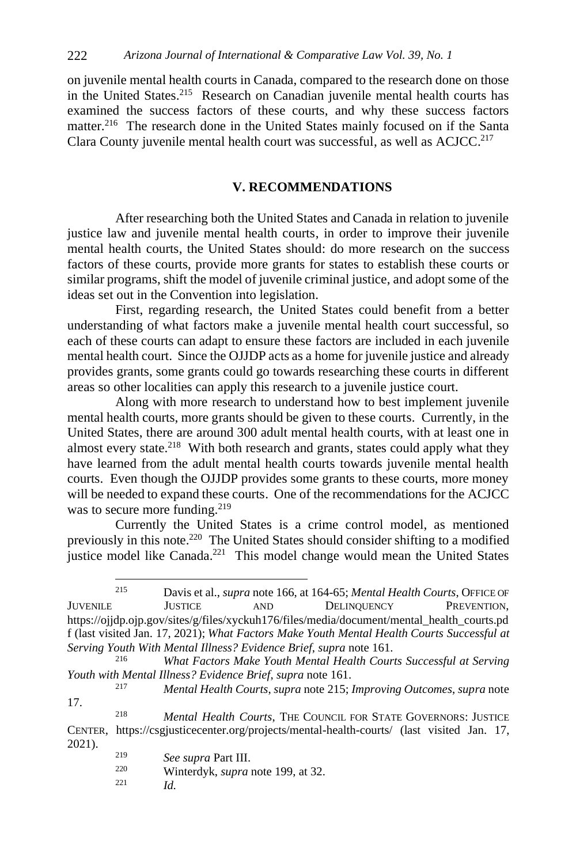on juvenile mental health courts in Canada, compared to the research done on those in the United States.<sup>215</sup> Research on Canadian juvenile mental health courts has examined the success factors of these courts, and why these success factors matter.<sup>216</sup> The research done in the United States mainly focused on if the Santa Clara County juvenile mental health court was successful, as well as ACJCC. 217

# **V. RECOMMENDATIONS**

After researching both the United States and Canada in relation to juvenile justice law and juvenile mental health courts, in order to improve their juvenile mental health courts, the United States should: do more research on the success factors of these courts, provide more grants for states to establish these courts or similar programs, shift the model of juvenile criminal justice, and adopt some of the ideas set out in the Convention into legislation.

First, regarding research, the United States could benefit from a better understanding of what factors make a juvenile mental health court successful, so each of these courts can adapt to ensure these factors are included in each juvenile mental health court. Since the OJJDP acts as a home for juvenile justice and already provides grants, some grants could go towards researching these courts in different areas so other localities can apply this research to a juvenile justice court.

Along with more research to understand how to best implement juvenile mental health courts, more grants should be given to these courts. Currently, in the United States, there are around 300 adult mental health courts, with at least one in almost every state.<sup>218</sup> With both research and grants, states could apply what they have learned from the adult mental health courts towards juvenile mental health courts. Even though the OJJDP provides some grants to these courts, more money will be needed to expand these courts. One of the recommendations for the ACJCC was to secure more funding.<sup>219</sup>

Currently the United States is a crime control model, as mentioned previously in this note.<sup>220</sup> The United States should consider shifting to a modified justice model like Canada.<sup>221</sup> This model change would mean the United States

- Winterdyk, *supra* note 199, at 32.
- <sup>221</sup> *Id.*

<sup>215</sup> Davis et al., *supra* note 166, at 164-65; *Mental Health Courts*, OFFICE OF JUVENILE JUSTICE AND DELINQUENCY PREVENTION, [https://ojjdp.ojp.gov/sites/g/files/xyckuh176/files/media/document/mental\\_health\\_courts.pd](https://ojjdp.ojp.gov/sites/g/files/xyckuh176/files/media/document/mental_health_courts.pdf) [f](https://ojjdp.ojp.gov/sites/g/files/xyckuh176/files/media/document/mental_health_courts.pdf) (last visited Jan. 17, 2021); *What Factors Make Youth Mental Health Courts Successful at Serving Youth With Mental Illness? Evidence Brief*, *supra* note 161.

<sup>216</sup> *What Factors Make Youth Mental Health Courts Successful at Serving Youth with Mental Illness? Evidence Brief*, *supra* note 161.

<sup>217</sup> *Mental Health Courts*, *supra* note 215; *Improving Outcomes*, *supra* note 17.

<sup>218</sup> *Mental Health Courts*, THE COUNCIL FOR STATE GOVERNORS: JUSTICE CENTER, <https://csgjusticecenter.org/projects/mental-health-courts/> (last visited Jan. 17, 2021).

<sup>219</sup> *See supra* Part III.